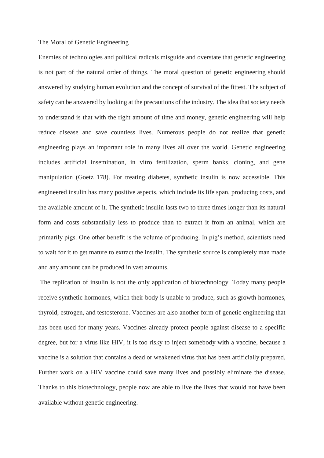## The Moral of Genetic Engineering

Enemies of technologies and political radicals misguide and overstate that genetic engineering is not part of the natural order of things. The moral question of genetic engineering should answered by studying human evolution and the concept of survival of the fittest. The subject of safety can be answered by looking at the precautions of the industry. The idea that society needs to understand is that with the right amount of time and money, genetic engineering will help reduce disease and save countless lives. Numerous people do not realize that genetic engineering plays an important role in many lives all over the world. Genetic engineering includes artificial insemination, in vitro fertilization, sperm banks, cloning, and gene manipulation (Goetz 178). For treating diabetes, synthetic insulin is now accessible. This engineered insulin has many positive aspects, which include its life span, producing costs, and the available amount of it. The synthetic insulin lasts two to three times longer than its natural form and costs substantially less to produce than to extract it from an animal, which are primarily pigs. One other benefit is the volume of producing. In pig's method, scientists need to wait for it to get mature to extract the insulin. The synthetic source is completely man made and any amount can be produced in vast amounts.

The replication of insulin is not the only application of biotechnology. Today many people receive synthetic hormones, which their body is unable to produce, such as growth hormones, thyroid, estrogen, and testosterone. Vaccines are also another form of genetic engineering that has been used for many years. Vaccines already protect people against disease to a specific degree, but for a virus like HIV, it is too risky to inject somebody with a vaccine, because a vaccine is a solution that contains a dead or weakened virus that has been artificially prepared. Further work on a HIV vaccine could save many lives and possibly eliminate the disease. Thanks to this biotechnology, people now are able to live the lives that would not have been available without genetic engineering.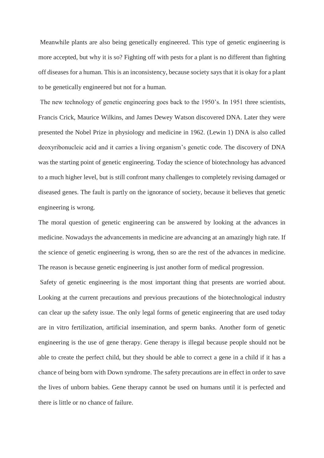Meanwhile plants are also being genetically engineered. This type of genetic engineering is more accepted, but why it is so? Fighting off with pests for a plant is no different than fighting off diseases for a human. This is an inconsistency, because society says that it is okay for a plant to be genetically engineered but not for a human.

The new technology of genetic engineering goes back to the 1950's. In 1951 three scientists, Francis Crick, Maurice Wilkins, and James Dewey Watson discovered DNA. Later they were presented the Nobel Prize in physiology and medicine in 1962. (Lewin 1) DNA is also called deoxyribonucleic acid and it carries a living organism's genetic code. The discovery of DNA was the starting point of genetic engineering. Today the science of biotechnology has advanced to a much higher level, but is still confront many challenges to completely revising damaged or diseased genes. The fault is partly on the ignorance of society, because it believes that genetic engineering is wrong.

The moral question of genetic engineering can be answered by looking at the advances in medicine. Nowadays the advancements in medicine are advancing at an amazingly high rate. If the science of genetic engineering is wrong, then so are the rest of the advances in medicine. The reason is because genetic engineering is just another form of medical progression.

Safety of genetic engineering is the most important thing that presents are worried about. Looking at the current precautions and previous precautions of the biotechnological industry can clear up the safety issue. The only legal forms of genetic engineering that are used today are in vitro fertilization, artificial insemination, and sperm banks. Another form of genetic engineering is the use of gene therapy. Gene therapy is illegal because people should not be able to create the perfect child, but they should be able to correct a gene in a child if it has a chance of being born with Down syndrome. The safety precautions are in effect in order to save the lives of unborn babies. Gene therapy cannot be used on humans until it is perfected and there is little or no chance of failure.